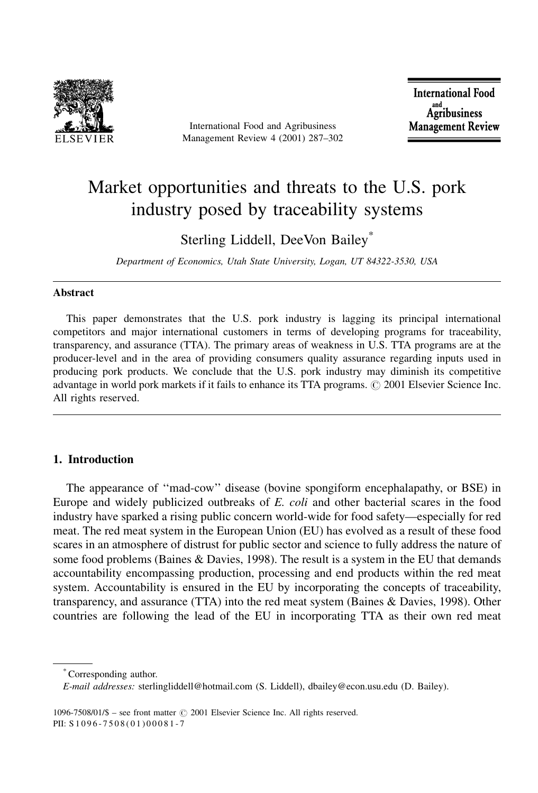

International Food and Agribusiness Management Review 4 (2001) 287-302

**International Food** and<br>Agribusiness **Management Review** 

# Market opportunities and threats to the U.S. pork industry posed by traceability systems

Sterling Liddell, DeeVon Bailey\*

Department of Economics, Utah State University, Logan, UT 84322-3530, USA

# **Abstract**

This paper demonstrates that the U.S. pork industry is lagging its principal international competitors and major international customers in terms of developing programs for traceability, transparency, and assurance (TTA). The primary areas of weakness in U.S. TTA programs are at the producer-level and in the area of providing consumers quality assurance regarding inputs used in producing pork products. We conclude that the U.S. pork industry may diminish its competitive advantage in world pork markets if it fails to enhance its TTA programs. © 2001 Elsevier Science Inc. All rights reserved.

# 1. Introduction

The appearance of "mad-cow" disease (bovine spongiform encephalapathy, or BSE) in Europe and widely publicized outbreaks of E. coli and other bacterial scares in the food industry have sparked a rising public concern world-wide for food safety—especially for red meat. The red meat system in the European Union (EU) has evolved as a result of these food scares in an atmosphere of distrust for public sector and science to fully address the nature of some food problems (Baines  $\&$  Davies, 1998). The result is a system in the EU that demands accountability encompassing production, processing and end products within the red meat system. Accountability is ensured in the EU by incorporating the concepts of traceability, transparency, and assurance (TTA) into the red meat system (Baines & Davies, 1998). Other countries are following the lead of the EU in incorporating TTA as their own red meat

\*Corresponding author. E-mail addresses: sterlingliddell@hotmail.com (S. Liddell), dbailey@econ.usu.edu (D. Bailey).

1096-7508/01/\$ - see front matter © 2001 Elsevier Science Inc. All rights reserved. PII: S1096-7508(01)00081-7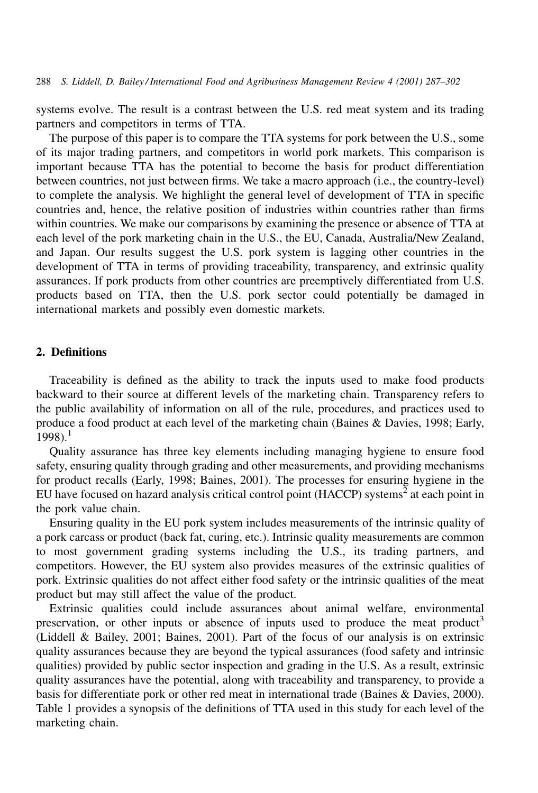288 S. Liddell, D. Bailey/International Food and Agribusiness Management Review 4 (2001) 287–302

systems evolve. The result is a contrast between the U.S. red meat system and its trading partners and competitors in terms of TTA.

The purpose of this paper is to compare the TTA systems for pork between the U.S., some of its major trading partners, and competitors in world pork markets. This comparison is important because TTA has the potential to become the basis for product differentiation between countries, not just between firms. We take a macro approach (i.e., the country-level) to complete the analysis. We highlight the general level of development of TTA in specific countries and, hence, the relative position of industries within countries rather than firms within countries. We make our comparisons by examining the presence or absence of TTA at each level of the pork marketing chain in the U.S., the EU, Canada, Australia/New Zealand, and Japan. Our results suggest the U.S. pork system is lagging other countries in the development of TTA in terms of providing traceability, transparency, and extrinsic quality assurances. If pork products from other countries are preemptively differentiated from U.S. products based on TTA, then the U.S. pork sector could potentially be damaged in international markets and possibly even domestic markets.

# 2. Definitions

Traceability is defined as the ability to track the inputs used to make food products backward to their source at different levels of the marketing chain. Transparency refers to the public availability of information on all of the rule, procedures, and practices used to produce a food product at each level of the marketing chain (Baines & Davies, 1998; Early,  $1998$ ).<sup>1</sup>

Quality assurance has three key elements including managing hygiene to ensure food safety, ensuring quality through grading and other measurements, and providing mechanisms for product recalls (Early, 1998; Baines, 2001). The processes for ensuring hygiene in the EU have focused on hazard analysis critical control point (HACCP) systems<sup>2</sup> at each point in the pork value chain.

Ensuring quality in the EU pork system includes measurements of the intrinsic quality of a pork carcass or product (back fat, curing, etc.). Intrinsic quality measurements are common to most government grading systems including the U.S., its trading partners, and competitors. However, the EU system also provides measures of the extrinsic qualities of pork. Extrinsic qualities do not affect either food safety or the intrinsic qualities of the meat product but may still affect the value of the product.

Extrinsic qualities could include assurances about animal welfare, environmental preservation, or other inputs or absence of inputs used to produce the meat product<sup>3</sup> (Liddell & Bailey, 2001; Baines, 2001). Part of the focus of our analysis is on extrinsic quality assurances because they are beyond the typical assurances (food safety and intrinsic qualities) provided by public sector inspection and grading in the U.S. As a result, extrinsic quality assurances have the potential, along with traceability and transparency, to provide a basis for differentiate pork or other red meat in international trade (Baines & Davies, 2000). Table 1 provides a synopsis of the definitions of TTA used in this study for each level of the marketing chain.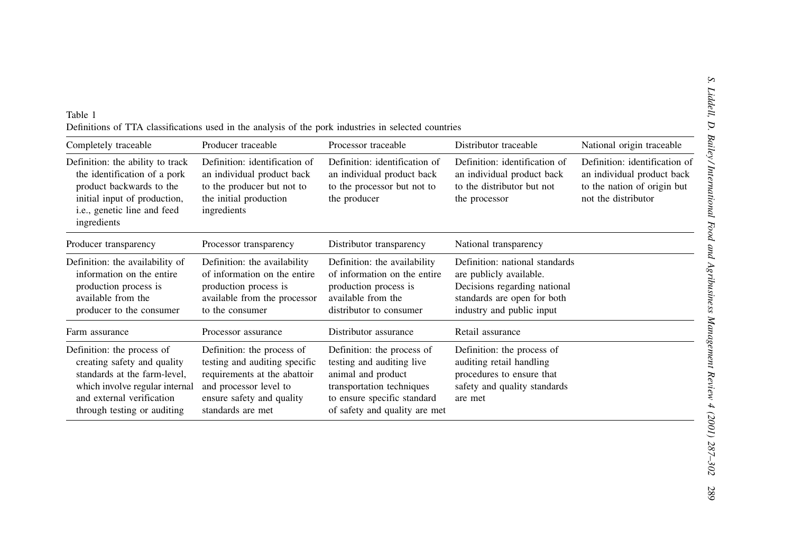| Table 1                                                                                              |  |
|------------------------------------------------------------------------------------------------------|--|
| Definitions of TTA classifications used in the analysis of the pork industries in selected countries |  |

| Completely traceable                                                                                                                                                                    | Producer traceable                                                                                                                                                      | Processor traceable                                                                                                                                                        | Distributor traceable                                                                                                                                 | National origin traceable                                                                                         |
|-----------------------------------------------------------------------------------------------------------------------------------------------------------------------------------------|-------------------------------------------------------------------------------------------------------------------------------------------------------------------------|----------------------------------------------------------------------------------------------------------------------------------------------------------------------------|-------------------------------------------------------------------------------------------------------------------------------------------------------|-------------------------------------------------------------------------------------------------------------------|
| Definition: the ability to track<br>the identification of a pork<br>product backwards to the<br>initial input of production,<br>i.e., genetic line and feed<br>ingredients              | Definition: identification of<br>an individual product back<br>to the producer but not to<br>the initial production<br>ingredients                                      | Definition: identification of<br>an individual product back<br>to the processor but not to<br>the producer                                                                 | Definition: identification of<br>an individual product back<br>to the distributor but not<br>the processor                                            | Definition: identification of<br>an individual product back<br>to the nation of origin but<br>not the distributor |
| Producer transparency                                                                                                                                                                   | Processor transparency                                                                                                                                                  | Distributor transparency                                                                                                                                                   | National transparency                                                                                                                                 |                                                                                                                   |
| Definition: the availability of<br>information on the entire<br>production process is<br>available from the<br>producer to the consumer                                                 | Definition: the availability<br>of information on the entire<br>production process is<br>available from the processor<br>to the consumer                                | Definition: the availability<br>of information on the entire<br>production process is<br>available from the<br>distributor to consumer                                     | Definition: national standards<br>are publicly available.<br>Decisions regarding national<br>standards are open for both<br>industry and public input |                                                                                                                   |
| Farm assurance                                                                                                                                                                          | Processor assurance                                                                                                                                                     | Distributor assurance                                                                                                                                                      | Retail assurance                                                                                                                                      |                                                                                                                   |
| Definition: the process of<br>creating safety and quality<br>standards at the farm-level,<br>which involve regular internal<br>and external verification<br>through testing or auditing | Definition: the process of<br>testing and auditing specific<br>requirements at the abattoir<br>and processor level to<br>ensure safety and quality<br>standards are met | Definition: the process of<br>testing and auditing live<br>animal and product<br>transportation techniques<br>to ensure specific standard<br>of safety and quality are met | Definition: the process of<br>auditing retail handling<br>procedures to ensure that<br>safety and quality standards<br>are met                        |                                                                                                                   |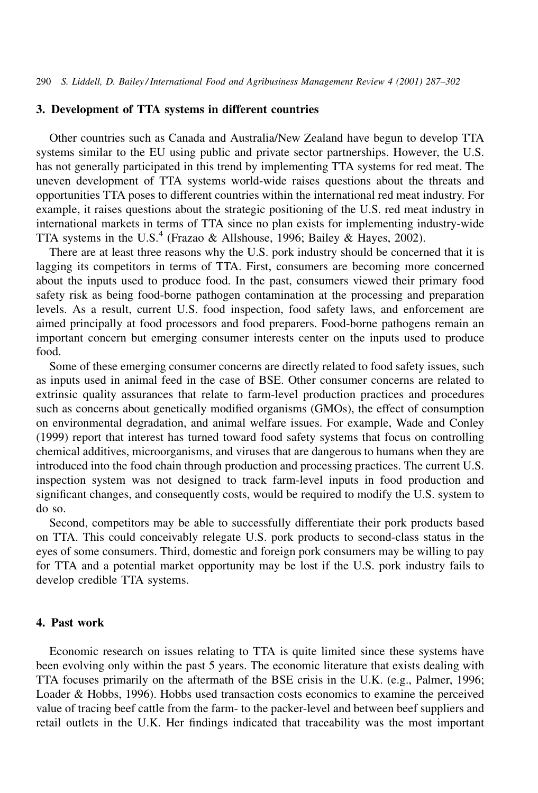# 3. Development of TTA systems in different countries

Other countries such as Canada and Australia/New Zealand have begun to develop TTA systems similar to the EU using public and private sector partnerships. However, the U.S. has not generally participated in this trend by implementing TTA systems for red meat. The uneven development of TTA systems world-wide raises questions about the threats and opportunities TTA poses to different countries within the international red meat industry. For example, it raises questions about the strategic positioning of the U.S. red meat industry in international markets in terms of TTA since no plan exists for implementing industry-wide TTA systems in the U.S.<sup>4</sup> (Frazao & Allshouse, 1996; Bailey & Hayes, 2002).

There are at least three reasons why the U.S. pork industry should be concerned that it is lagging its competitors in terms of TTA. First, consumers are becoming more concerned about the inputs used to produce food. In the past, consumers viewed their primary food safety risk as being food-borne pathogen contamination at the processing and preparation levels. As a result, current U.S. food inspection, food safety laws, and enforcement are aimed principally at food processors and food preparers. Food-borne pathogens remain an important concern but emerging consumer interests center on the inputs used to produce food.

Some of these emerging consumer concerns are directly related to food safety issues, such as inputs used in animal feed in the case of BSE. Other consumer concerns are related to extrinsic quality assurances that relate to farm-level production practices and procedures such as concerns about genetically modified organisms (GMOs), the effect of consumption on environmental degradation, and animal welfare issues. For example, Wade and Conley (1999) report that interest has turned toward food safety systems that focus on controlling chemical additives, microorganisms, and viruses that are dangerous to humans when they are introduced into the food chain through production and processing practices. The current U.S. inspection system was not designed to track farm-level inputs in food production and significant changes, and consequently costs, would be required to modify the U.S. system to do so.

Second, competitors may be able to successfully differentiate their pork products based on TTA. This could conceivably relegate U.S. pork products to second-class status in the eyes of some consumers. Third, domestic and foreign pork consumers may be willing to pay for TTA and a potential market opportunity may be lost if the U.S. pork industry fails to develop credible TTA systems.

## 4. Past work

Economic research on issues relating to TTA is quite limited since these systems have been evolving only within the past 5 years. The economic literature that exists dealing with TTA focuses primarily on the aftermath of the BSE crisis in the U.K. (e.g., Palmer, 1996; Loader & Hobbs, 1996). Hobbs used transaction costs economics to examine the perceived value of tracing beef cattle from the farm- to the packer-level and between beef suppliers and retail outlets in the U.K. Her findings indicated that traceability was the most important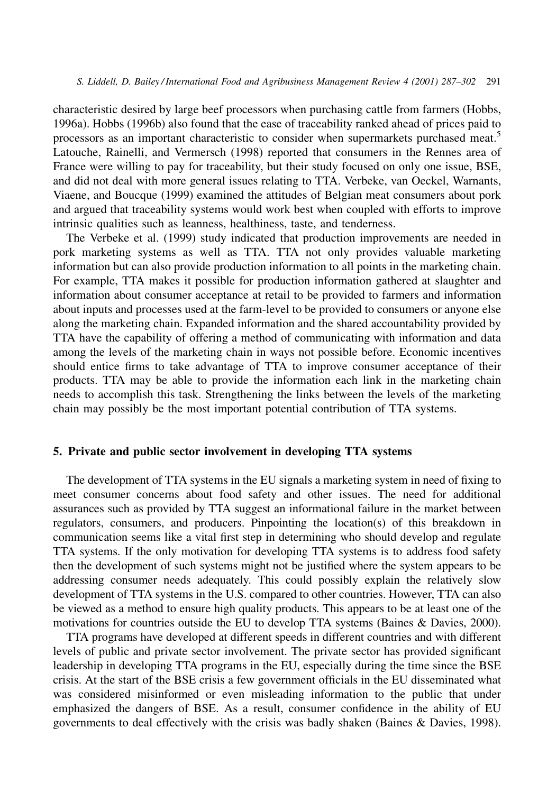characteristic desired by large beef processors when purchasing cattle from farmers (Hobbs, 1996a). Hobbs (1996b) also found that the ease of traceability ranked ahead of prices paid to processors as an important characteristic to consider when supermarkets purchased meat.<sup>5</sup> Latouche, Rainelli, and Vermersch (1998) reported that consumers in the Rennes area of France were willing to pay for traceability, but their study focused on only one issue, BSE, and did not deal with more general issues relating to TTA. Verbeke, van Oeckel, Warnants, Viaene, and Boucque (1999) examined the attitudes of Belgian meat consumers about pork and argued that traceability systems would work best when coupled with efforts to improve intrinsic qualities such as leanness, healthiness, taste, and tenderness.

The Verbeke et al. (1999) study indicated that production improvements are needed in pork marketing systems as well as TTA. TTA not only provides valuable marketing information but can also provide production information to all points in the marketing chain. For example, TTA makes it possible for production information gathered at slaughter and information about consumer acceptance at retail to be provided to farmers and information about inputs and processes used at the farm-level to be provided to consumers or anyone else along the marketing chain. Expanded information and the shared accountability provided by TTA have the capability of offering a method of communicating with information and data among the levels of the marketing chain in ways not possible before. Economic incentives should entice firms to take advantage of TTA to improve consumer acceptance of their products. TTA may be able to provide the information each link in the marketing chain needs to accomplish this task. Strengthening the links between the levels of the marketing chain may possibly be the most important potential contribution of TTA systems.

# 5. Private and public sector involvement in developing TTA systems

The development of TTA systems in the EU signals a marketing system in need of fixing to meet consumer concerns about food safety and other issues. The need for additional assurances such as provided by TTA suggest an informational failure in the market between regulators, consumers, and producers. Pinpointing the location(s) of this breakdown in communication seems like a vital first step in determining who should develop and regulate TTA systems. If the only motivation for developing TTA systems is to address food safety then the development of such systems might not be justified where the system appears to be addressing consumer needs adequately. This could possibly explain the relatively slow development of TTA systems in the U.S. compared to other countries. However, TTA can also be viewed as a method to ensure high quality products. This appears to be at least one of the motivations for countries outside the EU to develop TTA systems (Baines & Davies, 2000).

TTA programs have developed at different speeds in different countries and with different levels of public and private sector involvement. The private sector has provided significant leadership in developing TTA programs in the EU, especially during the time since the BSE crisis. At the start of the BSE crisis a few government officials in the EU disseminated what was considered misinformed or even misleading information to the public that under emphasized the dangers of BSE. As a result, consumer confidence in the ability of EU governments to deal effectively with the crisis was badly shaken (Baines & Davies, 1998).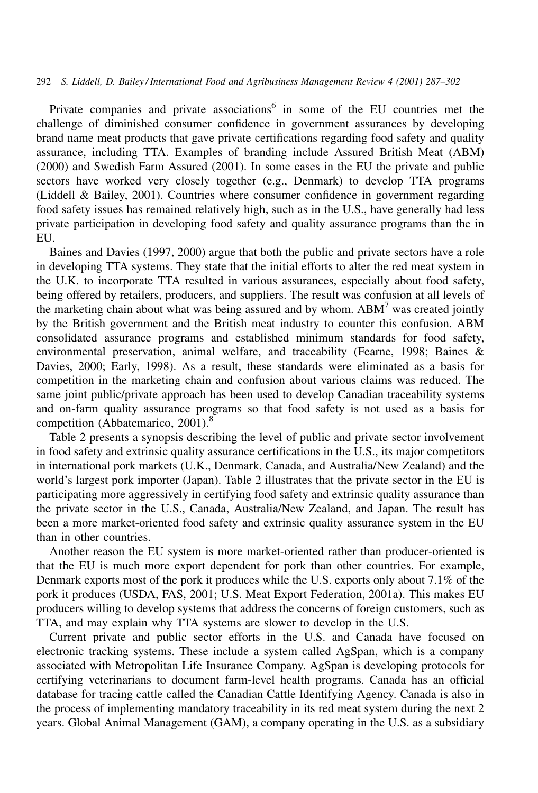#### 292 S. Liddell, D. Bailey/International Food and Agribusiness Management Review 4 (2001) 287–302

Private companies and private associations<sup>6</sup> in some of the EU countries met the challenge of diminished consumer confidence in government assurances by developing brand name meat products that gave private certifications regarding food safety and quality assurance, including TTA. Examples of branding include Assured British Meat (ABM) (2000) and Swedish Farm Assured (2001). In some cases in the EU the private and public sectors have worked very closely together (e.g., Denmark) to develop TTA programs (Liddell & Bailey, 2001). Countries where consumer confidence in government regarding food safety issues has remained relatively high, such as in the U.S., have generally had less private participation in developing food safety and quality assurance programs than the in EU.

Baines and Davies (1997, 2000) argue that both the public and private sectors have a role in developing TTA systems. They state that the initial efforts to alter the red meat system in the U.K. to incorporate TTA resulted in various assurances, especially about food safety, being offered by retailers, producers, and suppliers. The result was confusion at all levels of the marketing chain about what was being assured and by whom. ABM<sup>7</sup> was created jointly by the British government and the British meat industry to counter this confusion. ABM consolidated assurance programs and established minimum standards for food safety, environmental preservation, animal welfare, and traceability (Fearne, 1998; Baines & Davies, 2000; Early, 1998). As a result, these standards were eliminated as a basis for competition in the marketing chain and confusion about various claims was reduced. The same joint public/private approach has been used to develop Canadian traceability systems and on-farm quality assurance programs so that food safety is not used as a basis for competition (Abbatemarico, 2001).<sup>8</sup>

Table 2 presents a synopsis describing the level of public and private sector involvement in food safety and extrinsic quality assurance certifications in the U.S., its major competitors in international pork markets (U.K., Denmark, Canada, and Australia/New Zealand) and the world's largest pork importer (Japan). Table 2 illustrates that the private sector in the EU is participating more aggressively in certifying food safety and extrinsic quality assurance than the private sector in the U.S., Canada, Australia/New Zealand, and Japan. The result has been a more market-oriented food safety and extrinsic quality assurance system in the EU than in other countries.

Another reason the EU system is more market-oriented rather than producer-oriented is that the EU is much more export dependent for pork than other countries. For example, Denmark exports most of the pork it produces while the U.S. exports only about 7.1% of the pork it produces (USDA, FAS, 2001; U.S. Meat Export Federation, 2001a). This makes EU producers willing to develop systems that address the concerns of foreign customers, such as TTA, and may explain why TTA systems are slower to develop in the U.S.

Current private and public sector efforts in the U.S. and Canada have focused on electronic tracking systems. These include a system called AgSpan, which is a company associated with Metropolitan Life Insurance Company. AgSpan is developing protocols for certifying veterinarians to document farm-level health programs. Canada has an official database for tracing cattle called the Canadian Cattle Identifying Agency. Canada is also in the process of implementing mandatory traceability in its red meat system during the next 2 years. Global Animal Management (GAM), a company operating in the U.S. as a subsidiary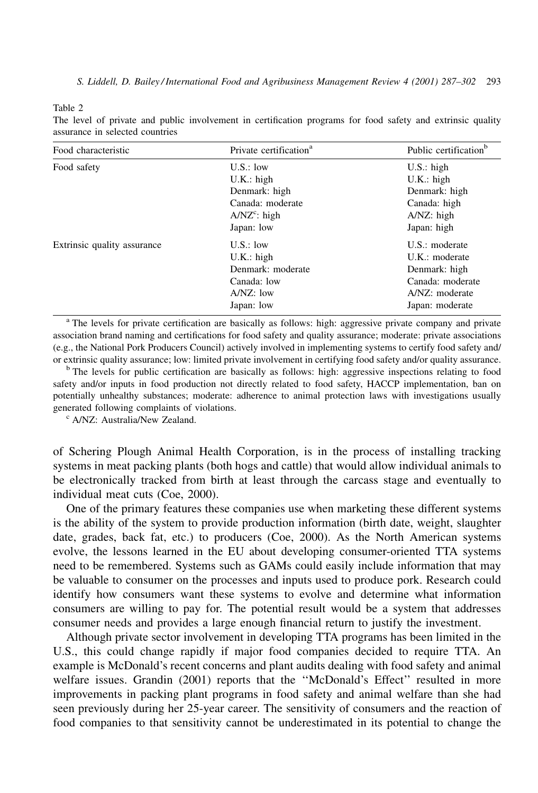Table 2

The level of private and public involvement in certification programs for food safety and extrinsic quality assurance in selected countries

| Food characteristic         | Private certification <sup>a</sup> | Public certification <sup>b</sup> |
|-----------------------------|------------------------------------|-----------------------------------|
| Food safety                 | $U.S.:$ low                        | $U.S.:$ high                      |
|                             | $U.K.:$ high                       | $U.K.:$ high                      |
|                             | Denmark: high                      | Denmark: high                     |
|                             | Canada: moderate                   | Canada: high                      |
|                             | $A/NZ^c$ : high                    | $A/NZ$ : high                     |
|                             | Japan: low                         | Japan: high                       |
| Extrinsic quality assurance | $U.S.:$ low                        | U.S.: moderate                    |
|                             | $U.K.:$ high                       | $U.K.:$ moderate                  |
|                             | Denmark: moderate                  | Denmark: high                     |
|                             | Canada: low                        | Canada: moderate                  |
|                             | $A/NZ$ : low                       | A/NZ: moderate                    |
|                             | Japan: low                         | Japan: moderate                   |

<sup>a</sup> The levels for private certification are basically as follows: high: aggressive private company and private association brand naming and certifications for food safety and quality assurance; moderate: private associations (e.g., the National Pork Producers Council) actively involved in implementing systems to certify food safety and/ or extrinsic quality assurance; low: limited private involvement in certifying food safety and/or quality assurance.

<sup>b</sup> The levels for public certification are basically as follows: high: aggressive inspections relating to food safety and/or inputs in food production not directly related to food safety, HACCP implementation, ban on potentially unhealthy substances; moderate: adherence to animal protection laws with investigations usually generated following complaints of violations.

<sup>c</sup> A/NZ: Australia/New Zealand.

of Schering Plough Animal Health Corporation, is in the process of installing tracking systems in meat packing plants (both hogs and cattle) that would allow individual animals to be electronically tracked from birth at least through the carcass stage and eventually to individual meat cuts (Coe, 2000).

One of the primary features these companies use when marketing these different systems is the ability of the system to provide production information (birth date, weight, slaughter date, grades, back fat, etc.) to producers (Coe, 2000). As the North American systems evolve, the lessons learned in the EU about developing consumer-oriented TTA systems need to be remembered. Systems such as GAMs could easily include information that may be valuable to consumer on the processes and inputs used to produce pork. Research could identify how consumers want these systems to evolve and determine what information consumers are willing to pay for. The potential result would be a system that addresses consumer needs and provides a large enough financial return to justify the investment.

Although private sector involvement in developing TTA programs has been limited in the U.S., this could change rapidly if major food companies decided to require TTA. An example is McDonald's recent concerns and plant audits dealing with food safety and animal welfare issues. Grandin (2001) reports that the "McDonald's Effect" resulted in more improvements in packing plant programs in food safety and animal welfare than she had seen previously during her 25-year career. The sensitivity of consumers and the reaction of food companies to that sensitivity cannot be underestimated in its potential to change the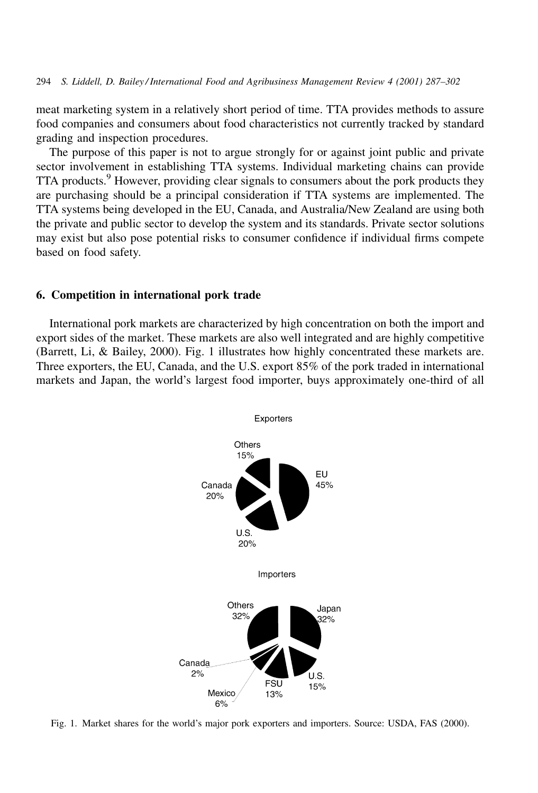meat marketing system in a relatively short period of time. TTA provides methods to assure food companies and consumers about food characteristics not currently tracked by standard grading and inspection procedures.

The purpose of this paper is not to argue strongly for or against joint public and private sector involvement in establishing TTA systems. Individual marketing chains can provide TTA products.<sup>9</sup> However, providing clear signals to consumers about the pork products they are purchasing should be a principal consideration if TTA systems are implemented. The TTA systems being developed in the EU, Canada, and Australia/New Zealand are using both the private and public sector to develop the system and its standards. Private sector solutions may exist but also pose potential risks to consumer confidence if individual firms compete based on food safety.

## 6. Competition in international pork trade

International pork markets are characterized by high concentration on both the import and export sides of the market. These markets are also well integrated and are highly competitive (Barrett, Li, & Bailey, 2000). Fig. 1 illustrates how highly concentrated these markets are. Three exporters, the EU, Canada, and the U.S. export 85% of the pork traded in international markets and Japan, the world's largest food importer, buys approximately one-third of all



Fig. 1. Market shares for the world's major pork exporters and importers. Source: USDA, FAS (2000).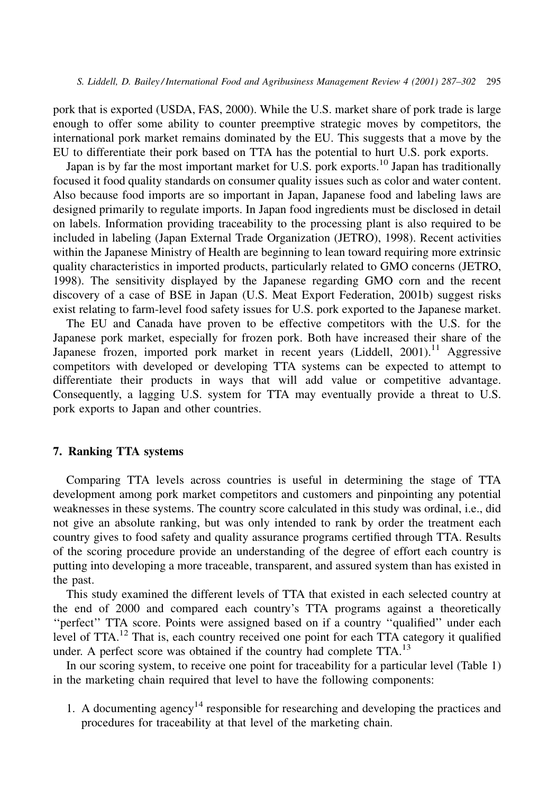pork that is exported (USDA, FAS, 2000). While the U.S. market share of pork trade is large enough to offer some ability to counter preemptive strategic moves by competitors, the international pork market remains dominated by the EU. This suggests that a move by the EU to differentiate their pork based on TTA has the potential to hurt U.S. pork exports.

Japan is by far the most important market for U.S. pork exports.<sup>10</sup> Japan has traditionally focused it food quality standards on consumer quality issues such as color and water content. Also because food imports are so important in Japan, Japanese food and labeling laws are designed primarily to regulate imports. In Japan food ingredients must be disclosed in detail on labels. Information providing traceability to the processing plant is also required to be included in labeling (Japan External Trade Organization (JETRO), 1998). Recent activities within the Japanese Ministry of Health are beginning to lean toward requiring more extrinsic quality characteristics in imported products, particularly related to GMO concerns (JETRO, 1998). The sensitivity displayed by the Japanese regarding GMO corn and the recent discovery of a case of BSE in Japan (U.S. Meat Export Federation, 2001b) suggest risks exist relating to farm-level food safety issues for U.S. pork exported to the Japanese market.

The EU and Canada have proven to be effective competitors with the U.S. for the Japanese pork market, especially for frozen pork. Both have increased their share of the Japanese frozen, imported pork market in recent years (Liddell, 2001).<sup>11</sup> Aggressive competitors with developed or developing TTA systems can be expected to attempt to differentiate their products in ways that will add value or competitive advantage. Consequently, a lagging U.S. system for TTA may eventually provide a threat to U.S. pork exports to Japan and other countries.

# 7. Ranking TTA systems

Comparing TTA levels across countries is useful in determining the stage of TTA development among pork market competitors and customers and pinpointing any potential weaknesses in these systems. The country score calculated in this study was ordinal, i.e., did not give an absolute ranking, but was only intended to rank by order the treatment each country gives to food safety and quality assurance programs certified through TTA. Results of the scoring procedure provide an understanding of the degree of effort each country is putting into developing a more traceable, transparent, and assured system than has existed in the past.

This study examined the different levels of TTA that existed in each selected country at the end of 2000 and compared each country's TTA programs against a theoretically "perfect" TTA score. Points were assigned based on if a country "qualified" under each level of TTA.<sup>12</sup> That is, each country received one point for each TTA category it qualified under. A perfect score was obtained if the country had complete TTA.<sup>13</sup>

In our scoring system, to receive one point for traceability for a particular level (Table 1) in the marketing chain required that level to have the following components:

1. A documenting agency<sup>14</sup> responsible for researching and developing the practices and procedures for traceability at that level of the marketing chain.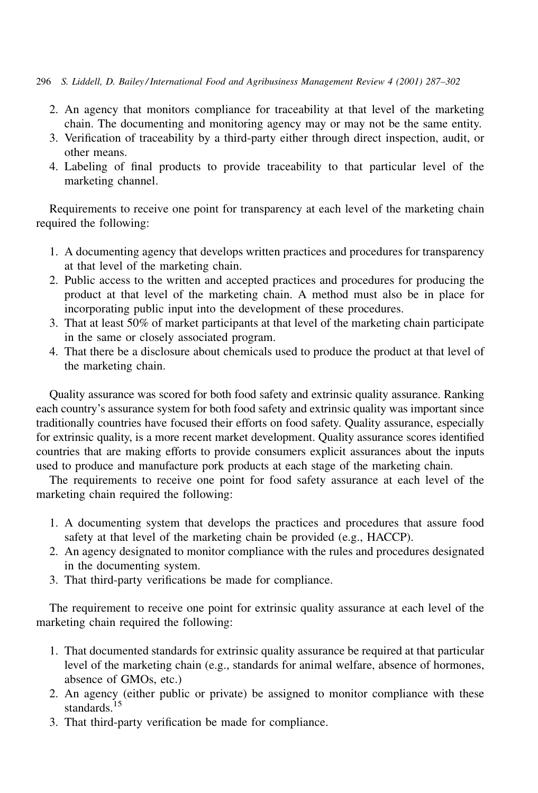# 296 S. Liddell, D. Bailey/International Food and Agribusiness Management Review 4 (2001) 287–302

- 2. An agency that monitors compliance for traceability at that level of the marketing chain. The documenting and monitoring agency may or may not be the same entity.
- 3. Verification of traceability by a third-party either through direct inspection, audit, or other means.
- 4. Labeling of final products to provide traceability to that particular level of the marketing channel.

Requirements to receive one point for transparency at each level of the marketing chain required the following:

- 1. A documenting agency that develops written practices and procedures for transparency at that level of the marketing chain.
- 2. Public access to the written and accepted practices and procedures for producing the product at that level of the marketing chain. A method must also be in place for incorporating public input into the development of these procedures.
- 3. That at least 50% of market participants at that level of the marketing chain participate in the same or closely associated program.
- 4. That there be a disclosure about chemicals used to produce the product at that level of the marketing chain.

Quality assurance was scored for both food safety and extrinsic quality assurance. Ranking each country's assurance system for both food safety and extrinsic quality was important since traditionally countries have focused their efforts on food safety. Quality assurance, especially for extrinsic quality, is a more recent market development. Quality assurance scores identified countries that are making efforts to provide consumers explicit assurances about the inputs used to produce and manufacture pork products at each stage of the marketing chain.

The requirements to receive one point for food safety assurance at each level of the marketing chain required the following:

- 1. A documenting system that develops the practices and procedures that assure food safety at that level of the marketing chain be provided (e.g., HACCP).
- 2. An agency designated to monitor compliance with the rules and procedures designated in the documenting system.
- 3. That third-party verifications be made for compliance.

The requirement to receive one point for extrinsic quality assurance at each level of the marketing chain required the following:

- 1. That documented standards for extrinsic quality assurance be required at that particular level of the marketing chain (e.g., standards for animal welfare, absence of hormones, absence of GMOs, etc.)
- 2. An agency (either public or private) be assigned to monitor compliance with these standards.
- 3. That third-party verification be made for compliance.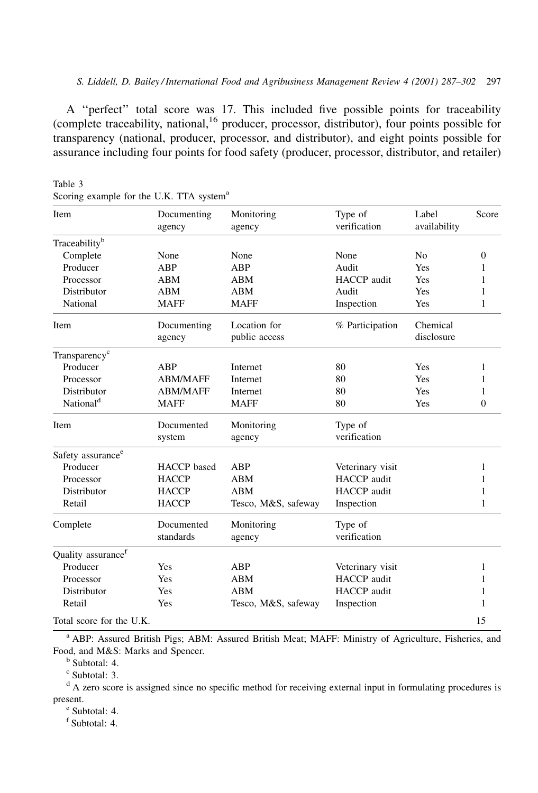A "perfect" total score was 17. This included five possible points for traceability (complete traceability, national,  $^{16}$  producer, processor, distributor), four points possible for transparency (national, producer, processor, and distributor), and eight points possible for assurance including four points for food safety (producer, processor, distributor, and retailer)

| Item                           | Documenting        | Monitoring          | Type of            | Label          | Score            |
|--------------------------------|--------------------|---------------------|--------------------|----------------|------------------|
|                                | agency             | agency              | verification       | availability   |                  |
| Traceability <sup>b</sup>      |                    |                     |                    |                |                  |
| Complete                       | None               | None                | None               | N <sub>o</sub> | $\boldsymbol{0}$ |
| Producer                       | ABP                | ABP                 | Audit              | Yes            | 1                |
| Processor                      | ABM                | <b>ABM</b>          | <b>HACCP</b> audit | Yes            | 1                |
| Distributor                    | ABM                | ABM                 | Audit              | Yes            | $\mathbf{1}$     |
| National                       | <b>MAFF</b>        | <b>MAFF</b>         | Inspection         | Yes            | 1                |
| Item                           | Documenting        | Location for        | % Participation    | Chemical       |                  |
|                                | agency             | public access       |                    | disclosure     |                  |
| Transparency <sup>c</sup>      |                    |                     |                    |                |                  |
| Producer                       | ABP                | Internet            | 80                 | Yes            | 1                |
| Processor                      | <b>ABM/MAFF</b>    | Internet            | 80                 | Yes            | 1                |
| Distributor                    | <b>ABM/MAFF</b>    | Internet            | 80                 | Yes            | 1                |
| National <sup>d</sup>          | <b>MAFF</b>        | <b>MAFF</b>         | 80                 | Yes            | $\mathbf{0}$     |
| Item                           | Documented         | Monitoring          | Type of            |                |                  |
|                                | system             | agency              | verification       |                |                  |
| Safety assurance <sup>e</sup>  |                    |                     |                    |                |                  |
| Producer                       | <b>HACCP</b> based | ABP                 | Veterinary visit   |                | 1                |
| Processor                      | <b>HACCP</b>       | <b>ABM</b>          | <b>HACCP</b> audit |                | 1                |
| Distributor                    | <b>HACCP</b>       | <b>ABM</b>          | <b>HACCP</b> audit |                | 1                |
| Retail                         | <b>HACCP</b>       | Tesco, M&S, safeway | Inspection         |                | 1                |
| Complete                       | Documented         | Monitoring          | Type of            |                |                  |
|                                | standards          | agency              | verification       |                |                  |
| Quality assurance <sup>f</sup> |                    |                     |                    |                |                  |
| Producer                       | Yes                | ABP                 | Veterinary visit   |                | 1                |
| Processor                      | Yes                | <b>ABM</b>          | <b>HACCP</b> audit |                | 1                |
| Distributor                    | Yes                | ABM                 | HACCP audit        |                | 1                |
| Retail                         | Yes                | Tesco, M&S, safeway | Inspection         |                | 1                |
| Total score for the U.K.       |                    |                     |                    |                | 15               |

Table 3 Scoring example for the ILK TTA system<sup>a</sup>

<sup>a</sup> ABP: Assured British Pigs; ABM: Assured British Meat; MAFF: Ministry of Agriculture, Fisheries, and Food, and M&S: Marks and Spencer.

<sup>b</sup> Subtotal: 4.

 $\degree$  Subtotal: 3.

<sup>d</sup> A zero score is assigned since no specific method for receiving external input in formulating procedures is present.

<sup>e</sup> Subtotal: 4.

<sup>f</sup> Subtotal: 4.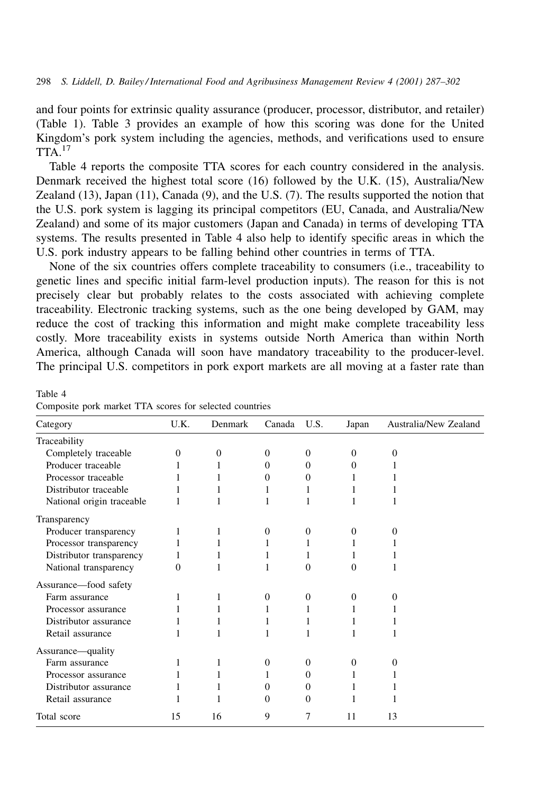and four points for extrinsic quality assurance (producer, processor, distributor, and retailer) (Table 1). Table 3 provides an example of how this scoring was done for the United Kingdom's pork system including the agencies, methods, and verifications used to ensure  $TTA.<sup>17</sup>$ 

Table 4 reports the composite TTA scores for each country considered in the analysis. Denmark received the highest total score (16) followed by the U.K. (15), Australia/New Zealand  $(13)$ , Japan  $(11)$ , Canada  $(9)$ , and the U.S.  $(7)$ . The results supported the notion that the U.S. pork system is lagging its principal competitors (EU, Canada, and Australia/New Zealand) and some of its major customers (Japan and Canada) in terms of developing TTA systems. The results presented in Table 4 also help to identify specific areas in which the U.S. pork industry appears to be falling behind other countries in terms of TTA.

None of the six countries offers complete traceability to consumers (*i.e.*, traceability to genetic lines and specific initial farm-level production inputs). The reason for this is not precisely clear but probably relates to the costs associated with achieving complete traceability. Electronic tracking systems, such as the one being developed by GAM, may reduce the cost of tracking this information and might make complete traceability less costly. More traceability exists in systems outside North America than within North America, although Canada will soon have mandatory traceability to the producer-level. The principal U.S. competitors in pork export markets are all moving at a faster rate than

| Category                  | U.K.     | Denmark  | Canada   | U.S.         | Japan    | Australia/New Zealand |
|---------------------------|----------|----------|----------|--------------|----------|-----------------------|
| Traceability              |          |          |          |              |          |                       |
| Completely traceable      | 0        | $\theta$ | $\Omega$ | $\Omega$     | $\Omega$ | 0                     |
| Producer traceable        |          | 1        | $\Omega$ | $\Omega$     | 0        |                       |
| Processor traceable       |          |          | $\Omega$ | $\mathbf{0}$ |          |                       |
| Distributor traceable     | 1        | 1        | 1        | 1            |          |                       |
| National origin traceable | 1        | 1        | 1        | 1            |          |                       |
| Transparency              |          |          |          |              |          |                       |
| Producer transparency     | 1        | 1        | $\Omega$ | 0            | $\Omega$ | 0                     |
| Processor transparency    |          |          |          | 1            |          |                       |
| Distributor transparency  | 1        |          | 1        |              |          |                       |
| National transparency     | $\Omega$ | 1        |          | $\Omega$     | 0        |                       |
| Assurance-food safety     |          |          |          |              |          |                       |
| Farm assurance            |          | 1        | $\Omega$ | $\mathbf{0}$ | $\Omega$ | 0                     |
| Processor assurance       |          | 1        | 1        | 1            |          |                       |
| Distributor assurance     |          | 1        | 1        |              |          |                       |
| Retail assurance          |          | 1        | 1        | 1            |          |                       |
| Assurance—quality         |          |          |          |              |          |                       |
| Farm assurance            | 1        | 1        | $\theta$ | $\Omega$     | $\Omega$ | 0                     |
| Processor assurance       |          | 1        | 1        | $\Omega$     |          |                       |
| Distributor assurance     |          | 1        | $\theta$ | $\mathbf{0}$ |          |                       |
| Retail assurance          |          | 1        | $\Omega$ | $\Omega$     |          |                       |
| Total score               | 15       | 16       | 9        | 7            | 11       | 13                    |

Composite pork market TTA scores for selected countries

Table 4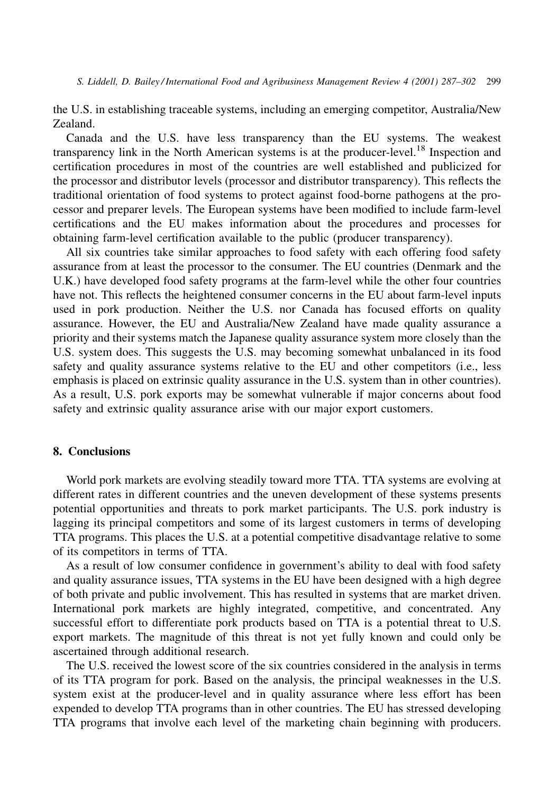the U.S. in establishing traceable systems, including an emerging competitor, Australia/New Zealand.

Canada and the U.S. have less transparency than the EU systems. The weakest transparency link in the North American systems is at the producer-level.<sup>18</sup> Inspection and certification procedures in most of the countries are well established and publicized for the processor and distributor levels (processor and distributor transparency). This reflects the traditional orientation of food systems to protect against food-borne pathogens at the processor and preparer levels. The European systems have been modified to include farm-level certifications and the EU makes information about the procedures and processes for obtaining farm-level certification available to the public (producer transparency).

All six countries take similar approaches to food safety with each offering food safety assurance from at least the processor to the consumer. The EU countries (Denmark and the U.K.) have developed food safety programs at the farm-level while the other four countries have not. This reflects the heightened consumer concerns in the EU about farm-level inputs used in pork production. Neither the U.S. nor Canada has focused efforts on quality assurance. However, the EU and Australia/New Zealand have made quality assurance a priority and their systems match the Japanese quality assurance system more closely than the U.S. system does. This suggests the U.S. may becoming somewhat unbalanced in its food safety and quality assurance systems relative to the EU and other competitors (i.e., less emphasis is placed on extrinsic quality assurance in the U.S. system than in other countries). As a result, U.S. pork exports may be somewhat vulnerable if major concerns about food safety and extrinsic quality assurance arise with our major export customers.

## 8. Conclusions

World pork markets are evolving steadily toward more TTA. TTA systems are evolving at different rates in different countries and the uneven development of these systems presents potential opportunities and threats to pork market participants. The U.S. pork industry is lagging its principal competitors and some of its largest customers in terms of developing TTA programs. This places the U.S. at a potential competitive disadvantage relative to some of its competitors in terms of TTA.

As a result of low consumer confidence in government's ability to deal with food safety and quality assurance issues, TTA systems in the EU have been designed with a high degree of both private and public involvement. This has resulted in systems that are market driven. International pork markets are highly integrated, competitive, and concentrated. Any successful effort to differentiate pork products based on TTA is a potential threat to U.S. export markets. The magnitude of this threat is not yet fully known and could only be ascertained through additional research.

The U.S. received the lowest score of the six countries considered in the analysis in terms of its TTA program for pork. Based on the analysis, the principal weaknesses in the U.S. system exist at the producer-level and in quality assurance where less effort has been expended to develop TTA programs than in other countries. The EU has stressed developing TTA programs that involve each level of the marketing chain beginning with producers.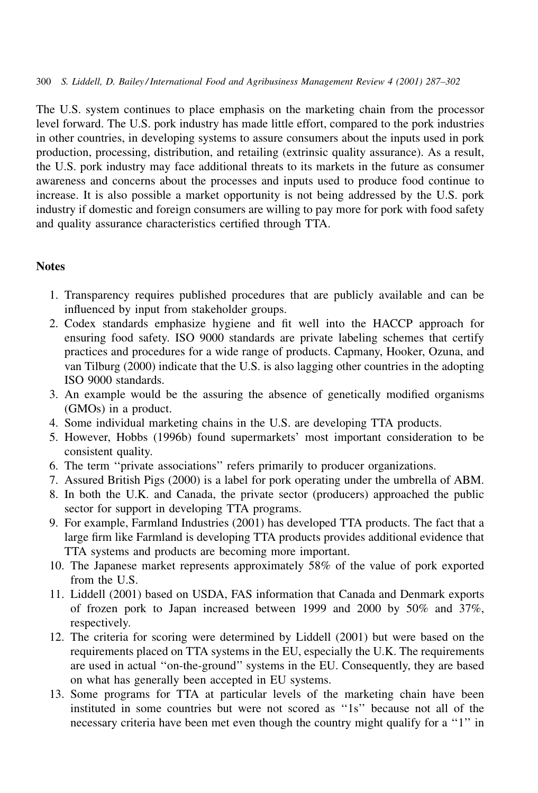The U.S. system continues to place emphasis on the marketing chain from the processor level forward. The U.S. pork industry has made little effort, compared to the pork industries in other countries, in developing systems to assure consumers about the inputs used in pork production, processing, distribution, and retailing (extrinsic quality assurance). As a result, the U.S. pork industry may face additional threats to its markets in the future as consumer awareness and concerns about the processes and inputs used to produce food continue to increase. It is also possible a market opportunity is not being addressed by the U.S. pork industry if domestic and foreign consumers are willing to pay more for pork with food safety and quality assurance characteristics certified through TTA.

# **Notes**

- 1. Transparency requires published procedures that are publicly available and can be influenced by input from stakeholder groups.
- 2. Codex standards emphasize hygiene and fit well into the HACCP approach for ensuring food safety. ISO 9000 standards are private labeling schemes that certify practices and procedures for a wide range of products. Capmany, Hooker, Ozuna, and van Tilburg (2000) indicate that the U.S. is also lagging other countries in the adopting ISO 9000 standards.
- 3. An example would be the assuring the absence of genetically modified organisms (GMOs) in a product.
- 4. Some individual marketing chains in the U.S. are developing TTA products.
- 5. However, Hobbs (1996b) found supermarkets' most important consideration to be consistent quality.
- 6. The term "private associations" refers primarily to producer organizations.
- 7. Assured British Pigs (2000) is a label for pork operating under the umbrella of ABM.
- 8. In both the U.K. and Canada, the private sector (producers) approached the public sector for support in developing TTA programs.
- 9. For example, Farmland Industries (2001) has developed TTA products. The fact that a large firm like Farmland is developing TTA products provides additional evidence that TTA systems and products are becoming more important.
- 10. The Japanese market represents approximately 58% of the value of pork exported from the U.S.
- 11. Liddell (2001) based on USDA, FAS information that Canada and Denmark exports of frozen pork to Japan increased between 1999 and 2000 by 50% and 37%, respectively.
- 12. The criteria for scoring were determined by Liddell (2001) but were based on the requirements placed on TTA systems in the EU, especially the U.K. The requirements are used in actual "on-the-ground" systems in the EU. Consequently, they are based on what has generally been accepted in EU systems.
- 13. Some programs for TTA at particular levels of the marketing chain have been instituted in some countries but were not scored as "1s" because not all of the necessary criteria have been met even though the country might qualify for a "1" in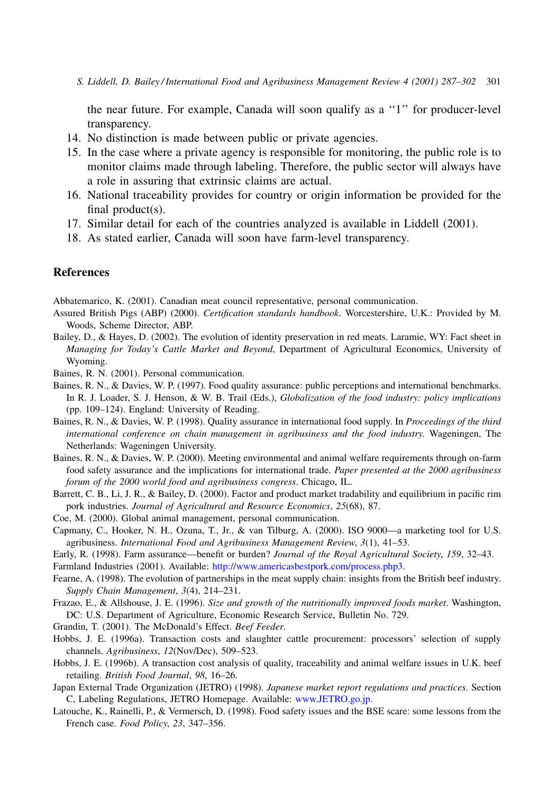<span id="page-14-0"></span>S. Liddell, D. Bailey/International Food and Agribusiness Management Review 4 (2001) 287–302 301

the near future. For example, Canada will soon qualify as a "1" for producer-level transparency.

- 14. No distinction is made between public or private agencies.
- 15. In the case where a private agency is responsible for monitoring, the public role is to monitor claims made through labeling. Therefore, the public sector will always have a role in assuring that extrinsic claims are actual.
- 16. National traceability provides for country or origin information be provided for the final product(s).
- 17. Similar detail for each of the countries analyzed is available in Liddell (2001).
- 18. As stated earlier, Canada will soon have farm-level transparency.

## **References**

Abbatemarico, K. (2001). Canadian meat council representative, personal communication.

- Assured British Pigs (ABP) (2000). Certification standards handbook. Worcestershire, U.K.: Provided by M. Woods, Scheme Director, ABP.
- Bailey, D., & Hayes, D. (2002). The evolution of identity preservation in red meats. Laramie, WY: Fact sheet in Managing for Today's Cattle Market and Beyond, Department of Agricultural Economics, University of Wyoming.

Baines, R. N. (2001). Personal communication.

- Baines, R. N., & Davies, W. P. (1997). Food quality assurance: public perceptions and international benchmarks. In R. J. Loader, S. J. Henson, & W. B. Trail (Eds.), Globalization of the food industry: policy implications (pp. 109–124). England: University of Reading.
- Baines, R. N., & Davies, W. P. (1998). Quality assurance in international food supply. In Proceedings of the third international conference on chain management in agribusiness and the food industry. Wageningen, The Netherlands: Wageningen University.
- Baines, R. N., & Davies, W. P. (2000). Meeting environmental and animal welfare requirements through on-farm food safety assurance and the implications for international trade. Paper presented at the 2000 agribusiness forum of the 2000 world food and agribusiness congress. Chicago, IL.
- Barrett, C. B., Li, J. R., & Bailey, D. (2000). Factor and product market tradability and equilibrium in pacific rim pork industries. Journal of Agricultural and Resource Economics, 25(68), 87.
- Coe, M. (2000). Global animal management, personal communication.
- Capmany, C., Hooker, N. H., Ozuna, T., Jr., & van Tilburg, A. (2000). ISO 9000-a marketing tool for U.S. agribusiness. International Food and Agribusiness Management Review, 3(1), 41-53.
- Early, R. (1998). Farm assurance—benefit or burden? Journal of the Royal Agricultural Society, 159, 32–43. Farmland Industries (2001). Available: http://www.americasbestpork.com/process.php3.
- Fearne, A. (1998). The evolution of partnerships in the meat supply chain: insights from the British beef industry. Supply Chain Management, 3(4), 214-231.
- Frazao, E., & Allshouse, J. E. (1996). Size and growth of the nutritionally improved foods market. Washington, DC: U.S. Department of Agriculture, Economic Research Service, Bulletin No. 729.
- Grandin, T. (2001). The McDonald's Effect. Beef Feeder.
- Hobbs, J. E. (1996a). Transaction costs and slaughter cattle procurement: processors' selection of supply channels. Agribusiness, 12(Nov/Dec), 509-523.
- Hobbs, J. E. (1996b). A transaction cost analysis of quality, traceability and animal welfare issues in U.K. beef retailing. British Food Journal, 98, 16-26.
- Japan External Trade Organization (JETRO) (1998). Japanese market report regulations and practices. Section C, Labeling Regulations, JETRO Homepage. Available: www.JETRO.go.jp.
- Latouche, K., Rainelli, P., & Vermersch, D. (1998). Food safety issues and the BSE scare: some lessons from the French case. Food Policy, 23, 347-356.